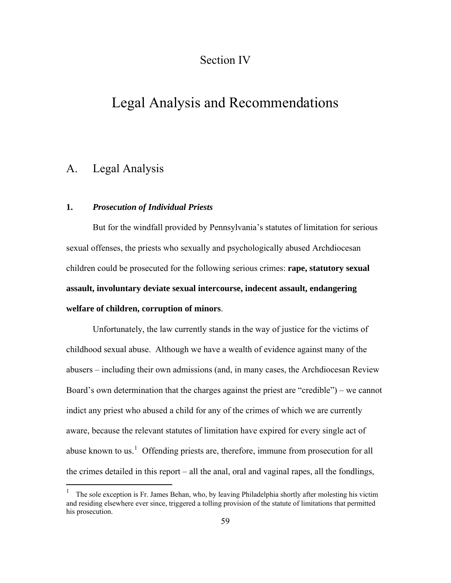# Section IV

# Legal Analysis and Recommendations

# A. Legal Analysis

 $\overline{a}$ 

### **1.** *Prosecution of Individual Priests*

 But for the windfall provided by Pennsylvania's statutes of limitation for serious sexual offenses, the priests who sexually and psychologically abused Archdiocesan children could be prosecuted for the following serious crimes: **rape, statutory sexual assault, involuntary deviate sexual intercourse, indecent assault, endangering welfare of children, corruption of minors**.

 Unfortunately, the law currently stands in the way of justice for the victims of childhood sexual abuse.Although we have a wealth of evidence against many of the abusers – including their own admissions (and, in many cases, the Archdiocesan Review Board's own determination that the charges against the priest are "credible") – we cannot indict any priest who abused a child for any of the crimes of which we are currently aware, because the relevant statutes of limitation have expired for every single act of abuse known to us.<sup>[1](#page-0-0)</sup> Offending priests are, therefore, immune from prosecution for all the crimes detailed in this report – all the anal, oral and vaginal rapes, all the fondlings,

<span id="page-0-0"></span><sup>1</sup> The sole exception is Fr. James Behan, who, by leaving Philadelphia shortly after molesting his victim and residing elsewhere ever since, triggered a tolling provision of the statute of limitations that permitted his prosecution.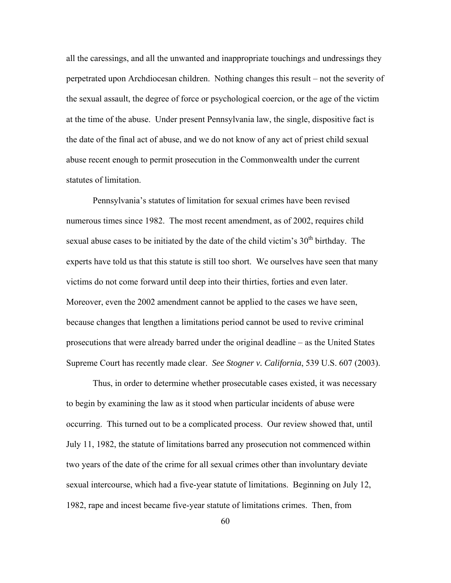all the caressings, and all the unwanted and inappropriate touchings and undressings they perpetrated upon Archdiocesan children. Nothing changes this result – not the severity of the sexual assault, the degree of force or psychological coercion, or the age of the victim at the time of the abuse. Under present Pennsylvania law, the single, dispositive fact is the date of the final act of abuse, and we do not know of any act of priest child sexual abuse recent enough to permit prosecution in the Commonwealth under the current statutes of limitation.

 Pennsylvania's statutes of limitation for sexual crimes have been revised numerous times since 1982. The most recent amendment, as of 2002, requires child sexual abuse cases to be initiated by the date of the child victim's  $30<sup>th</sup>$  birthday. The experts have told us that this statute is still too short. We ourselves have seen that many victims do not come forward until deep into their thirties, forties and even later. Moreover, even the 2002 amendment cannot be applied to the cases we have seen, because changes that lengthen a limitations period cannot be used to revive criminal prosecutions that were already barred under the original deadline – as the United States Supreme Court has recently made clear. *See Stogner v. California*, 539 U.S. 607 (2003).

 Thus, in order to determine whether prosecutable cases existed, it was necessary to begin by examining the law as it stood when particular incidents of abuse were occurring. This turned out to be a complicated process. Our review showed that, until July 11, 1982, the statute of limitations barred any prosecution not commenced within two years of the date of the crime for all sexual crimes other than involuntary deviate sexual intercourse, which had a five-year statute of limitations. Beginning on July 12, 1982, rape and incest became five-year statute of limitations crimes. Then, from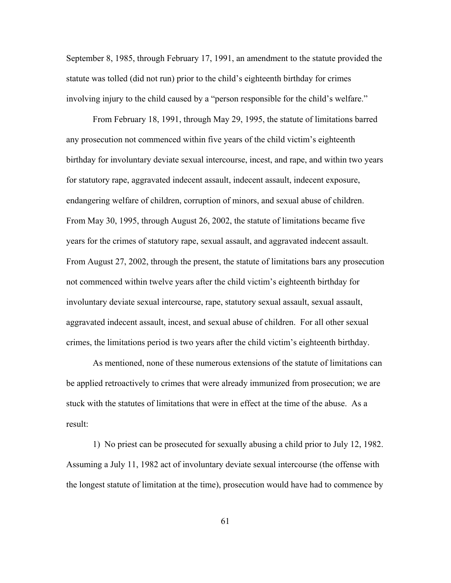September 8, 1985, through February 17, 1991, an amendment to the statute provided the statute was tolled (did not run) prior to the child's eighteenth birthday for crimes involving injury to the child caused by a "person responsible for the child's welfare."

 From February 18, 1991, through May 29, 1995, the statute of limitations barred any prosecution not commenced within five years of the child victim's eighteenth birthday for involuntary deviate sexual intercourse, incest, and rape, and within two years for statutory rape, aggravated indecent assault, indecent assault, indecent exposure, endangering welfare of children, corruption of minors, and sexual abuse of children. From May 30, 1995, through August 26, 2002, the statute of limitations became five years for the crimes of statutory rape, sexual assault, and aggravated indecent assault. From August 27, 2002, through the present, the statute of limitations bars any prosecution not commenced within twelve years after the child victim's eighteenth birthday for involuntary deviate sexual intercourse, rape, statutory sexual assault, sexual assault, aggravated indecent assault, incest, and sexual abuse of children. For all other sexual crimes, the limitations period is two years after the child victim's eighteenth birthday.

 As mentioned, none of these numerous extensions of the statute of limitations can be applied retroactively to crimes that were already immunized from prosecution; we are stuck with the statutes of limitations that were in effect at the time of the abuse. As a result:

 1) No priest can be prosecuted for sexually abusing a child prior to July 12, 1982. Assuming a July 11, 1982 act of involuntary deviate sexual intercourse (the offense with the longest statute of limitation at the time), prosecution would have had to commence by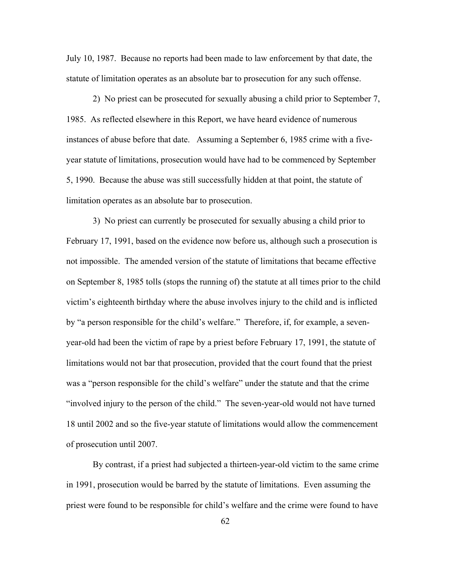July 10, 1987. Because no reports had been made to law enforcement by that date, the statute of limitation operates as an absolute bar to prosecution for any such offense.

 2) No priest can be prosecuted for sexually abusing a child prior to September 7, 1985. As reflected elsewhere in this Report, we have heard evidence of numerous instances of abuse before that date. Assuming a September 6, 1985 crime with a fiveyear statute of limitations, prosecution would have had to be commenced by September 5, 1990. Because the abuse was still successfully hidden at that point, the statute of limitation operates as an absolute bar to prosecution.

 3) No priest can currently be prosecuted for sexually abusing a child prior to February 17, 1991, based on the evidence now before us, although such a prosecution is not impossible. The amended version of the statute of limitations that became effective on September 8, 1985 tolls (stops the running of) the statute at all times prior to the child victim's eighteenth birthday where the abuse involves injury to the child and is inflicted by "a person responsible for the child's welfare." Therefore, if, for example, a sevenyear-old had been the victim of rape by a priest before February 17, 1991, the statute of limitations would not bar that prosecution, provided that the court found that the priest was a "person responsible for the child's welfare" under the statute and that the crime "involved injury to the person of the child." The seven-year-old would not have turned 18 until 2002 and so the five-year statute of limitations would allow the commencement of prosecution until 2007.

 By contrast, if a priest had subjected a thirteen-year-old victim to the same crime in 1991, prosecution would be barred by the statute of limitations. Even assuming the priest were found to be responsible for child's welfare and the crime were found to have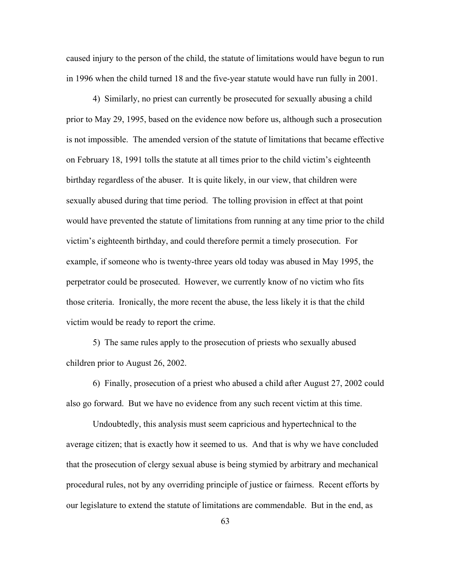caused injury to the person of the child, the statute of limitations would have begun to run in 1996 when the child turned 18 and the five-year statute would have run fully in 2001.

 4) Similarly, no priest can currently be prosecuted for sexually abusing a child prior to May 29, 1995, based on the evidence now before us, although such a prosecution is not impossible. The amended version of the statute of limitations that became effective on February 18, 1991 tolls the statute at all times prior to the child victim's eighteenth birthday regardless of the abuser. It is quite likely, in our view, that children were sexually abused during that time period. The tolling provision in effect at that point would have prevented the statute of limitations from running at any time prior to the child victim's eighteenth birthday, and could therefore permit a timely prosecution. For example, if someone who is twenty-three years old today was abused in May 1995, the perpetrator could be prosecuted. However, we currently know of no victim who fits those criteria. Ironically, the more recent the abuse, the less likely it is that the child victim would be ready to report the crime.

5) The same rules apply to the prosecution of priests who sexually abused children prior to August 26, 2002.

 6) Finally, prosecution of a priest who abused a child after August 27, 2002 could also go forward.But we have no evidence from any such recent victim at this time.

Undoubtedly, this analysis must seem capricious and hypertechnical to the average citizen; that is exactly how it seemed to us. And that is why we have concluded that the prosecution of clergy sexual abuse is being stymied by arbitrary and mechanical procedural rules, not by any overriding principle of justice or fairness. Recent efforts by our legislature to extend the statute of limitations are commendable. But in the end, as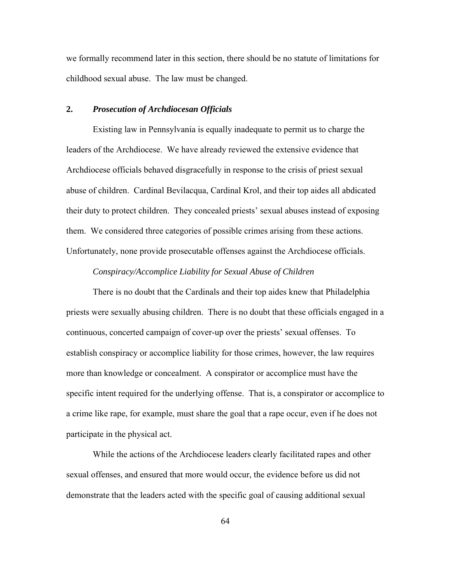we formally recommend later in this section, there should be no statute of limitations for childhood sexual abuse. The law must be changed.

### **2.** *Prosecution of Archdiocesan Officials*

Existing law in Pennsylvania is equally inadequate to permit us to charge the leaders of the Archdiocese.We have already reviewed the extensive evidence that Archdiocese officials behaved disgracefully in response to the crisis of priest sexual abuse of children. Cardinal Bevilacqua, Cardinal Krol, and their top aides all abdicated their duty to protect children. They concealed priests' sexual abuses instead of exposing them. We considered three categories of possible crimes arising from these actions. Unfortunately, none provide prosecutable offenses against the Archdiocese officials.

### *Conspiracy/Accomplice Liability for Sexual Abuse of Children*

 There is no doubt that the Cardinals and their top aides knew that Philadelphia priests were sexually abusing children. There is no doubt that these officials engaged in a continuous, concerted campaign of cover-up over the priests' sexual offenses. To establish conspiracy or accomplice liability for those crimes, however, the law requires more than knowledge or concealment. A conspirator or accomplice must have the specific intent required for the underlying offense. That is, a conspirator or accomplice to a crime like rape, for example, must share the goal that a rape occur, even if he does not participate in the physical act.

 While the actions of the Archdiocese leaders clearly facilitated rapes and other sexual offenses, and ensured that more would occur, the evidence before us did not demonstrate that the leaders acted with the specific goal of causing additional sexual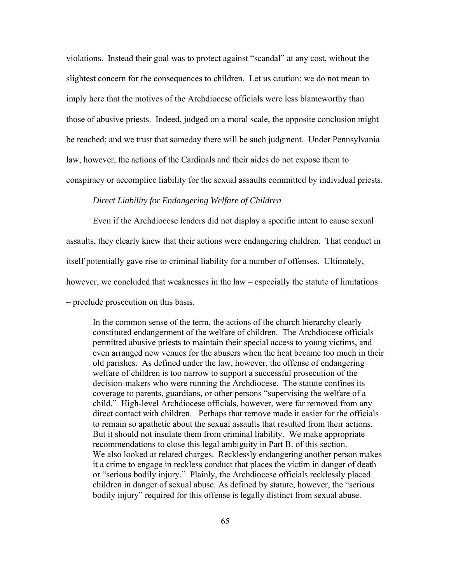violations. Instead their goal was to protect against "scandal" at any cost, without the slightest concern for the consequences to children. Let us caution: we do not mean to imply here that the motives of the Archdiocese officials were less blameworthy than those of abusive priests. Indeed, judged on a moral scale, the opposite conclusion might be reached; and we trust that someday there will be such judgment. Under Pennsylvania law, however, the actions of the Cardinals and their aides do not expose them to conspiracy or accomplice liability for the sexual assaults committed by individual priests.

### *Direct Liability for Endangering Welfare of Children*

 Even if the Archdiocese leaders did not display a specific intent to cause sexual assaults, they clearly knew that their actions were endangering children. That conduct in itself potentially gave rise to criminal liability for a number of offenses. Ultimately, however, we concluded that weaknesses in the law – especially the statute of limitations – preclude prosecution on this basis.

 In the common sense of the term, the actions of the church hierarchy clearly constituted endangerment of the welfare of children. The Archdiocese officials permitted abusive priests to maintain their special access to young victims, and even arranged new venues for the abusers when the heat became too much in their old parishes. As defined under the law, however, the offense of endangering welfare of children is too narrow to support a successful prosecution of the decision-makers who were running the Archdiocese. The statute confines its coverage to parents, guardians, or other persons "supervising the welfare of a child." High-level Archdiocese officials, however, were far removed from any direct contact with children. Perhaps that remove made it easier for the officials to remain so apathetic about the sexual assaults that resulted from their actions. But it should not insulate them from criminal liability. We make appropriate recommendations to close this legal ambiguity in Part B. of this section. We also looked at related charges. Recklessly endangering another person makes it a crime to engage in reckless conduct that places the victim in danger of death or "serious bodily injury." Plainly, the Archdiocese officials recklessly placed children in danger of sexual abuse. As defined by statute, however, the "serious bodily injury" required for this offense is legally distinct from sexual abuse.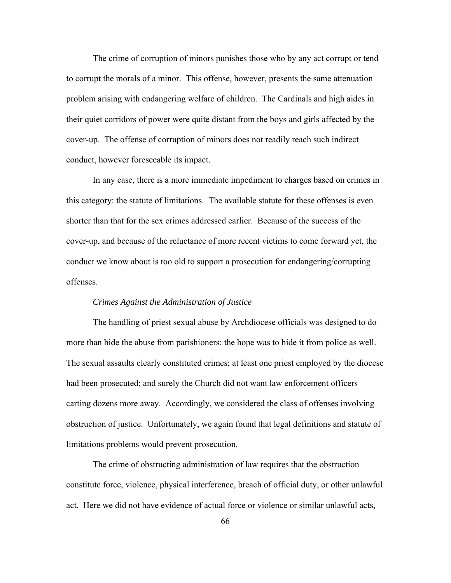The crime of corruption of minors punishes those who by any act corrupt or tend to corrupt the morals of a minor. This offense, however, presents the same attenuation problem arising with endangering welfare of children. The Cardinals and high aides in their quiet corridors of power were quite distant from the boys and girls affected by the cover-up. The offense of corruption of minors does not readily reach such indirect conduct, however foreseeable its impact.

 In any case, there is a more immediate impediment to charges based on crimes in this category: the statute of limitations. The available statute for these offenses is even shorter than that for the sex crimes addressed earlier. Because of the success of the cover-up, and because of the reluctance of more recent victims to come forward yet, the conduct we know about is too old to support a prosecution for endangering/corrupting offenses.

#### *Crimes Against the Administration of Justice*

 The handling of priest sexual abuse by Archdiocese officials was designed to do more than hide the abuse from parishioners: the hope was to hide it from police as well. The sexual assaults clearly constituted crimes; at least one priest employed by the diocese had been prosecuted; and surely the Church did not want law enforcement officers carting dozens more away. Accordingly, we considered the class of offenses involving obstruction of justice. Unfortunately, we again found that legal definitions and statute of limitations problems would prevent prosecution.

 The crime of obstructing administration of law requires that the obstruction constitute force, violence, physical interference, breach of official duty, or other unlawful act. Here we did not have evidence of actual force or violence or similar unlawful acts,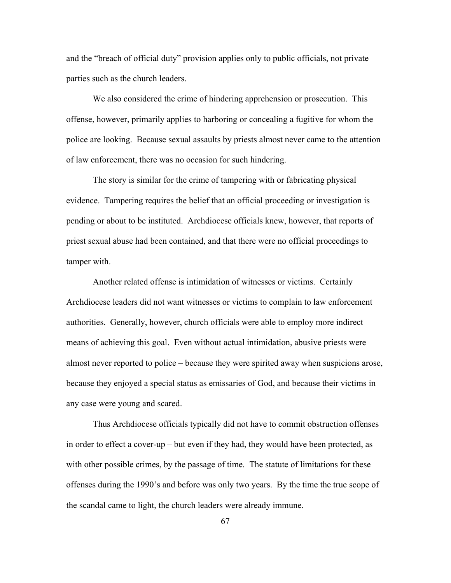and the "breach of official duty" provision applies only to public officials, not private parties such as the church leaders.

 We also considered the crime of hindering apprehension or prosecution. This offense, however, primarily applies to harboring or concealing a fugitive for whom the police are looking. Because sexual assaults by priests almost never came to the attention of law enforcement, there was no occasion for such hindering.

 The story is similar for the crime of tampering with or fabricating physical evidence. Tampering requires the belief that an official proceeding or investigation is pending or about to be instituted. Archdiocese officials knew, however, that reports of priest sexual abuse had been contained, and that there were no official proceedings to tamper with.

 Another related offense is intimidation of witnesses or victims. Certainly Archdiocese leaders did not want witnesses or victims to complain to law enforcement authorities. Generally, however, church officials were able to employ more indirect means of achieving this goal. Even without actual intimidation, abusive priests were almost never reported to police – because they were spirited away when suspicions arose, because they enjoyed a special status as emissaries of God, and because their victims in any case were young and scared.

 Thus Archdiocese officials typically did not have to commit obstruction offenses in order to effect a cover-up – but even if they had, they would have been protected, as with other possible crimes, by the passage of time. The statute of limitations for these offenses during the 1990's and before was only two years. By the time the true scope of the scandal came to light, the church leaders were already immune.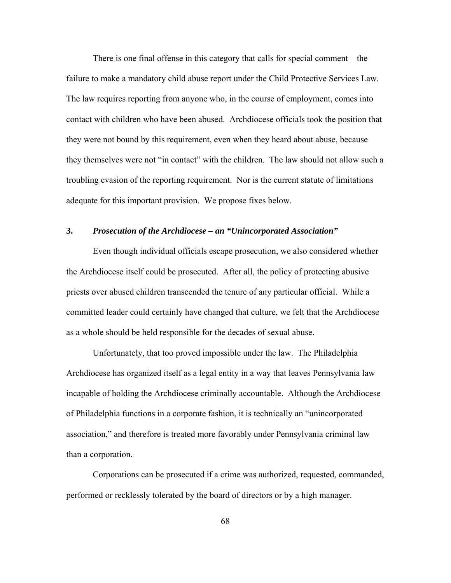There is one final offense in this category that calls for special comment – the failure to make a mandatory child abuse report under the Child Protective Services Law. The law requires reporting from anyone who, in the course of employment, comes into contact with children who have been abused. Archdiocese officials took the position that they were not bound by this requirement, even when they heard about abuse, because they themselves were not "in contact" with the children. The law should not allow such a troubling evasion of the reporting requirement. Nor is the current statute of limitations adequate for this important provision. We propose fixes below.

### **3.** *Prosecution of the Archdiocese – an "Unincorporated Association"*

 Even though individual officials escape prosecution, we also considered whether the Archdiocese itself could be prosecuted. After all, the policy of protecting abusive priests over abused children transcended the tenure of any particular official. While a committed leader could certainly have changed that culture, we felt that the Archdiocese as a whole should be held responsible for the decades of sexual abuse.

 Unfortunately, that too proved impossible under the law. The Philadelphia Archdiocese has organized itself as a legal entity in a way that leaves Pennsylvania law incapable of holding the Archdiocese criminally accountable. Although the Archdiocese of Philadelphia functions in a corporate fashion, it is technically an "unincorporated association," and therefore is treated more favorably under Pennsylvania criminal law than a corporation.

 Corporations can be prosecuted if a crime was authorized, requested, commanded, performed or recklessly tolerated by the board of directors or by a high manager.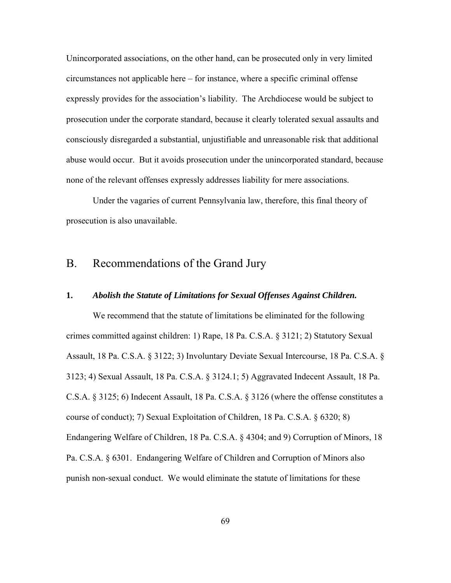Unincorporated associations, on the other hand, can be prosecuted only in very limited circumstances not applicable here – for instance, where a specific criminal offense expressly provides for the association's liability. The Archdiocese would be subject to prosecution under the corporate standard, because it clearly tolerated sexual assaults and consciously disregarded a substantial, unjustifiable and unreasonable risk that additional abuse would occur. But it avoids prosecution under the unincorporated standard, because none of the relevant offenses expressly addresses liability for mere associations.

 Under the vagaries of current Pennsylvania law, therefore, this final theory of prosecution is also unavailable.

### B. Recommendations of the Grand Jury

#### **1.** *Abolish the Statute of Limitations for Sexual Offenses Against Children.*

 We recommend that the statute of limitations be eliminated for the following crimes committed against children: 1) Rape, 18 Pa. C.S.A. § 3121; 2) Statutory Sexual Assault, 18 Pa. C.S.A. § 3122; 3) Involuntary Deviate Sexual Intercourse, 18 Pa. C.S.A. § 3123; 4) Sexual Assault, 18 Pa. C.S.A. § 3124.1; 5) Aggravated Indecent Assault, 18 Pa. C.S.A. § 3125; 6) Indecent Assault, 18 Pa. C.S.A. § 3126 (where the offense constitutes a course of conduct); 7) Sexual Exploitation of Children, 18 Pa. C.S.A. § 6320; 8) Endangering Welfare of Children, 18 Pa. C.S.A. § 4304; and 9) Corruption of Minors, 18 Pa. C.S.A. § 6301. Endangering Welfare of Children and Corruption of Minors also punish non-sexual conduct. We would eliminate the statute of limitations for these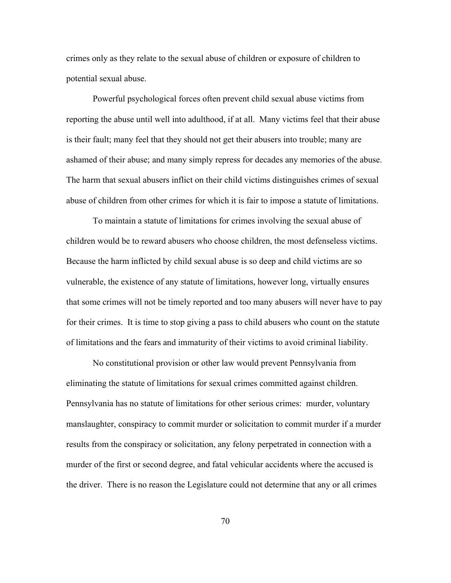crimes only as they relate to the sexual abuse of children or exposure of children to potential sexual abuse.

 Powerful psychological forces often prevent child sexual abuse victims from reporting the abuse until well into adulthood, if at all. Many victims feel that their abuse is their fault; many feel that they should not get their abusers into trouble; many are ashamed of their abuse; and many simply repress for decades any memories of the abuse. The harm that sexual abusers inflict on their child victims distinguishes crimes of sexual abuse of children from other crimes for which it is fair to impose a statute of limitations.

To maintain a statute of limitations for crimes involving the sexual abuse of children would be to reward abusers who choose children, the most defenseless victims. Because the harm inflicted by child sexual abuse is so deep and child victims are so vulnerable, the existence of any statute of limitations, however long, virtually ensures that some crimes will not be timely reported and too many abusers will never have to pay for their crimes. It is time to stop giving a pass to child abusers who count on the statute of limitations and the fears and immaturity of their victims to avoid criminal liability.

 No constitutional provision or other law would prevent Pennsylvania from eliminating the statute of limitations for sexual crimes committed against children. Pennsylvania has no statute of limitations for other serious crimes: murder, voluntary manslaughter, conspiracy to commit murder or solicitation to commit murder if a murder results from the conspiracy or solicitation, any felony perpetrated in connection with a murder of the first or second degree, and fatal vehicular accidents where the accused is the driver. There is no reason the Legislature could not determine that any or all crimes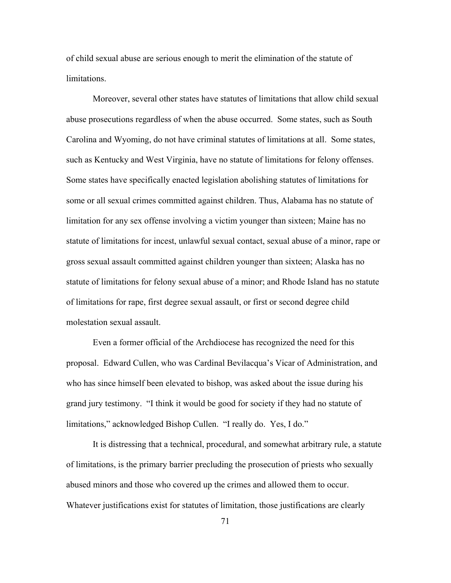of child sexual abuse are serious enough to merit the elimination of the statute of limitations.

 Moreover, several other states have statutes of limitations that allow child sexual abuse prosecutions regardless of when the abuse occurred. Some states, such as South Carolina and Wyoming, do not have criminal statutes of limitations at all. Some states, such as Kentucky and West Virginia, have no statute of limitations for felony offenses. Some states have specifically enacted legislation abolishing statutes of limitations for some or all sexual crimes committed against children. Thus, Alabama has no statute of limitation for any sex offense involving a victim younger than sixteen; Maine has no statute of limitations for incest, unlawful sexual contact, sexual abuse of a minor, rape or gross sexual assault committed against children younger than sixteen; Alaska has no statute of limitations for felony sexual abuse of a minor; and Rhode Island has no statute of limitations for rape, first degree sexual assault, or first or second degree child molestation sexual assault.

 Even a former official of the Archdiocese has recognized the need for this proposal. Edward Cullen, who was Cardinal Bevilacqua's Vicar of Administration, and who has since himself been elevated to bishop, was asked about the issue during his grand jury testimony. "I think it would be good for society if they had no statute of limitations," acknowledged Bishop Cullen. "I really do. Yes, I do."

 It is distressing that a technical, procedural, and somewhat arbitrary rule, a statute of limitations, is the primary barrier precluding the prosecution of priests who sexually abused minors and those who covered up the crimes and allowed them to occur. Whatever justifications exist for statutes of limitation, those justifications are clearly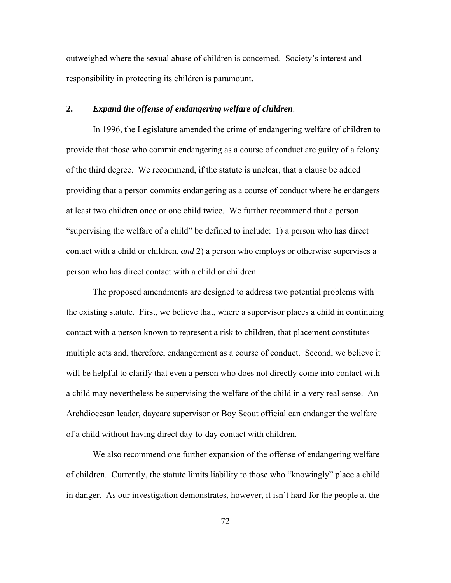outweighed where the sexual abuse of children is concerned. Society's interest and responsibility in protecting its children is paramount.

### **2.** *Expand the offense of endangering welfare of children*.

 In 1996, the Legislature amended the crime of endangering welfare of children to provide that those who commit endangering as a course of conduct are guilty of a felony of the third degree. We recommend, if the statute is unclear, that a clause be added providing that a person commits endangering as a course of conduct where he endangers at least two children once or one child twice. We further recommend that a person "supervising the welfare of a child" be defined to include: 1) a person who has direct contact with a child or children, *and* 2) a person who employs or otherwise supervises a person who has direct contact with a child or children.

 The proposed amendments are designed to address two potential problems with the existing statute. First, we believe that, where a supervisor places a child in continuing contact with a person known to represent a risk to children, that placement constitutes multiple acts and, therefore, endangerment as a course of conduct. Second, we believe it will be helpful to clarify that even a person who does not directly come into contact with a child may nevertheless be supervising the welfare of the child in a very real sense. An Archdiocesan leader, daycare supervisor or Boy Scout official can endanger the welfare of a child without having direct day-to-day contact with children.

 We also recommend one further expansion of the offense of endangering welfare of children. Currently, the statute limits liability to those who "knowingly" place a child in danger. As our investigation demonstrates, however, it isn't hard for the people at the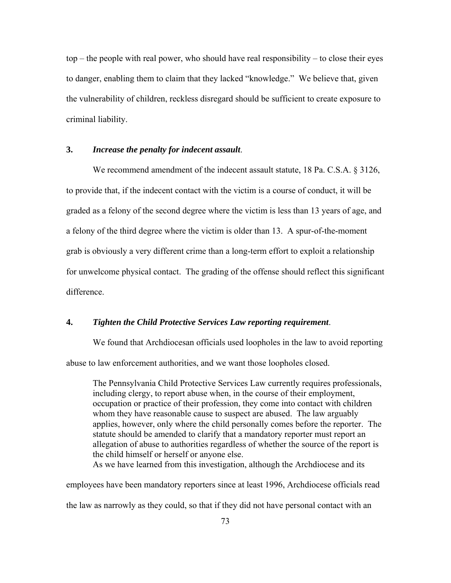top – the people with real power, who should have real responsibility – to close their eyes to danger, enabling them to claim that they lacked "knowledge." We believe that, given the vulnerability of children, reckless disregard should be sufficient to create exposure to criminal liability.

### **3.** *Increase the penalty for indecent assault*.

 We recommend amendment of the indecent assault statute, 18 Pa. C.S.A. § 3126, to provide that, if the indecent contact with the victim is a course of conduct, it will be graded as a felony of the second degree where the victim is less than 13 years of age, and a felony of the third degree where the victim is older than 13. A spur-of-the-moment grab is obviously a very different crime than a long-term effort to exploit a relationship for unwelcome physical contact. The grading of the offense should reflect this significant difference.

### **4.** *Tighten the Child Protective Services Law reporting requirement*.

 We found that Archdiocesan officials used loopholes in the law to avoid reporting abuse to law enforcement authorities, and we want those loopholes closed.

 The Pennsylvania Child Protective Services Law currently requires professionals, including clergy, to report abuse when, in the course of their employment, occupation or practice of their profession, they come into contact with children whom they have reasonable cause to suspect are abused. The law arguably applies, however, only where the child personally comes before the reporter. The statute should be amended to clarify that a mandatory reporter must report an allegation of abuse to authorities regardless of whether the source of the report is the child himself or herself or anyone else.

As we have learned from this investigation, although the Archdiocese and its

employees have been mandatory reporters since at least 1996, Archdiocese officials read

the law as narrowly as they could, so that if they did not have personal contact with an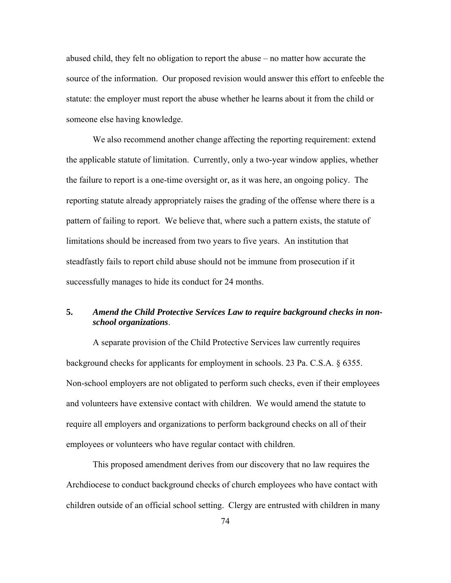abused child, they felt no obligation to report the abuse – no matter how accurate the source of the information. Our proposed revision would answer this effort to enfeeble the statute: the employer must report the abuse whether he learns about it from the child or someone else having knowledge.

 We also recommend another change affecting the reporting requirement: extend the applicable statute of limitation. Currently, only a two-year window applies, whether the failure to report is a one-time oversight or, as it was here, an ongoing policy. The reporting statute already appropriately raises the grading of the offense where there is a pattern of failing to report. We believe that, where such a pattern exists, the statute of limitations should be increased from two years to five years. An institution that steadfastly fails to report child abuse should not be immune from prosecution if it successfully manages to hide its conduct for 24 months.

### **5.** *Amend the Child Protective Services Law to require background checks in nonschool organizations*.

 A separate provision of the Child Protective Services law currently requires background checks for applicants for employment in schools. 23 Pa. C.S.A. § 6355. Non-school employers are not obligated to perform such checks, even if their employees and volunteers have extensive contact with children. We would amend the statute to require all employers and organizations to perform background checks on all of their employees or volunteers who have regular contact with children.

 This proposed amendment derives from our discovery that no law requires the Archdiocese to conduct background checks of church employees who have contact with children outside of an official school setting. Clergy are entrusted with children in many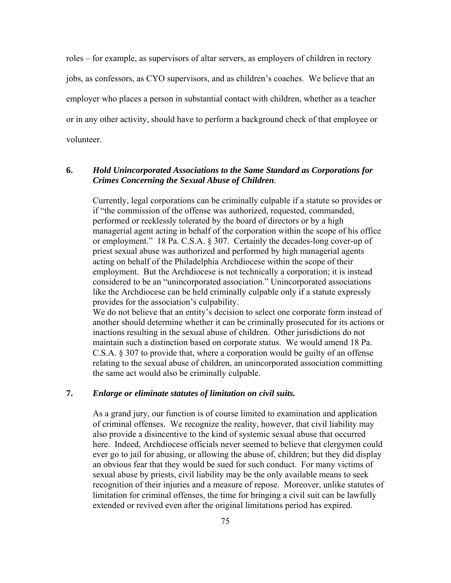roles – for example, as supervisors of altar servers, as employers of children in rectory jobs, as confessors, as CYO supervisors, and as children's coaches. We believe that an employer who places a person in substantial contact with children, whether as a teacher or in any other activity, should have to perform a background check of that employee or volunteer.

### **6.** *Hold Unincorporated Associations to the Same Standard as Corporations for Crimes Concerning the Sexual Abuse of Children.*

 Currently, legal corporations can be criminally culpable if a statute so provides or if "the commission of the offense was authorized, requested, commanded, performed or recklessly tolerated by the board of directors or by a high managerial agent acting in behalf of the corporation within the scope of his office or employment." 18 Pa. C.S.A. § 307. Certainly the decades-long cover-up of priest sexual abuse was authorized and performed by high managerial agents acting on behalf of the Philadelphia Archdiocese within the scope of their employment. But the Archdiocese is not technically a corporation; it is instead considered to be an "unincorporated association." Unincorporated associations like the Archdiocese can be held criminally culpable only if a statute expressly provides for the association's culpability.

We do not believe that an entity's decision to select one corporate form instead of another should determine whether it can be criminally prosecuted for its actions or inactions resulting in the sexual abuse of children. Other jurisdictions do not maintain such a distinction based on corporate status. We would amend 18 Pa. C.S.A. § 307 to provide that, where a corporation would be guilty of an offense relating to the sexual abuse of children, an unincorporated association committing the same act would also be criminally culpable.

### **7.** *Enlarge or eliminate statutes of limitation on civil suits.*

 As a grand jury, our function is of course limited to examination and application of criminal offenses. We recognize the reality, however, that civil liability may also provide a disincentive to the kind of systemic sexual abuse that occurred here. Indeed, Archdiocese officials never seemed to believe that clergymen could ever go to jail for abusing, or allowing the abuse of, children; but they did display an obvious fear that they would be sued for such conduct. For many victims of sexual abuse by priests, civil liability may be the only available means to seek recognition of their injuries and a measure of repose. Moreover, unlike statutes of limitation for criminal offenses, the time for bringing a civil suit can be lawfully extended or revived even after the original limitations period has expired.